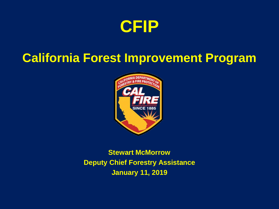

#### **California Forest Improvement Program**



**Stewart McMorrow Deputy Chief Forestry Assistance January 11, 2019**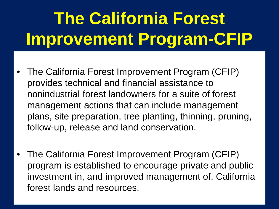# **The California Forest Improvement Program-CFIP**

- The California Forest Improvement Program (CFIP) provides technical and financial assistance to nonindustrial forest landowners for a suite of forest management actions that can include management plans, site preparation, tree planting, thinning, pruning, follow-up, release and land conservation.
- The California Forest Improvement Program (CFIP) program is established to encourage private and public investment in, and improved management of, California forest lands and resources. •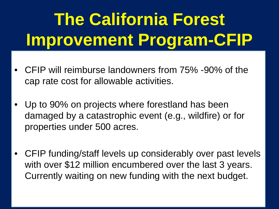# **The California Forest Improvement Program-CFIP**

- CFIP will reimburse landowners from 75% -90% of the cap rate cost for allowable activities.
- Up to 90% on projects where forestland has been damaged by a catastrophic event (e.g., wildfire) or for properties under 500 acres.
- CFIP funding/staff levels up considerably over past levels with over \$12 million encumbered over the last 3 years. Currently waiting on new funding with the next budget.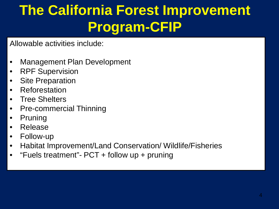#### **The California Forest Improvement Program-CFIP**

Allowable activities include:

- Management Plan Development
- **RPF Supervision**
- **Site Preparation**
- **Reforestation**
- **Tree Shelters**
- Pre-commercial Thinning
- **Pruning**
- Release
- Follow-up
- Habitat Improvement/Land Conservation/ Wildlife/Fisheries
- "Fuels treatment"  $PCT +$  follow up + pruning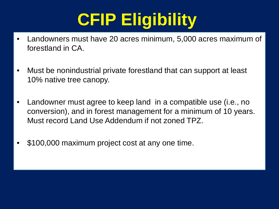- Landowners must have 20 acres minimum, 5,000 acres maximum of forestland in CA.
- Must be nonindustrial private forestland that can support at least 10% native tree canopy.
- Landowner must agree to keep land in a compatible use (i.e., no conversion), and in forest management for a minimum of 10 years. Must record Land Use Addendum if not zoned TPZ.
- \$100,000 maximum project cost at any one time.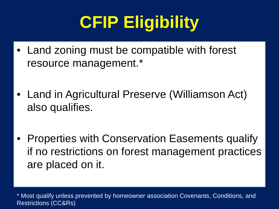- Land zoning must be compatible with forest resource management.\*
- Land in Agricultural Preserve (Williamson Act) also qualifies.
- Properties with Conservation Easements qualify if no restrictions on forest management practices are placed on it.

\* Most qualify unless prevented by homeowner association Covenants, Conditions, and Restrictions (CC&Rs)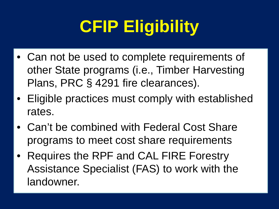- Can not be used to complete requirements of other State programs (i.e., Timber Harvesting Plans, PRC § 4291 fire clearances).
- Eligible practices must comply with established rates.
- Can't be combined with Federal Cost Share programs to meet cost share requirements
- Requires the RPF and CAL FIRE Forestry Assistance Specialist (FAS) to work with the landowner.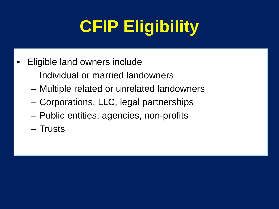- Eligible land owners include
	- Individual or married landowners
	- Multiple related or unrelated landowners
	- Corporations, LLC, legal partnerships
	- Public entities, agencies, non-profits
	- Trusts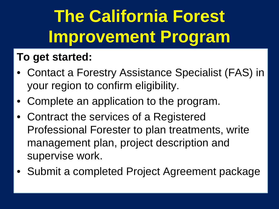### **The California Forest Improvement Program**

#### **To get started:**

- Contact a Forestry Assistance Specialist (FAS) in your region to confirm eligibility.
- Complete an application to the program.
- Contract the services of a Registered Professional Forester to plan treatments, write management plan, project description and supervise work.
- Submit a completed Project Agreement package